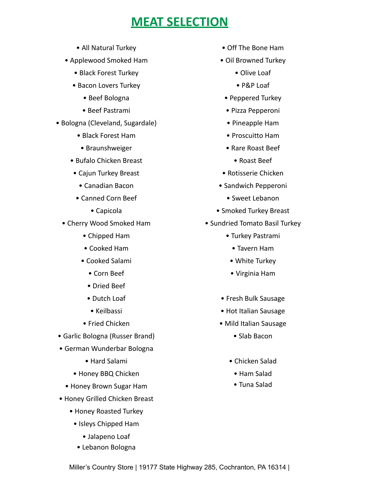## **MEAT SELECTION**

- All Natural Turkey
- Applewood Smoked Ham
	- Black Forest Turkey
	- Bacon Lovers Turkey
		- Beef Bologna
		- Beef Pastrami
- Bologna (Cleveland, Sugardale)
	- Black Forest Ham
	- Braunshweiger
	- Bufalo Chicken Breast
	- Cajun Turkey Breast
		- Canadian Bacon
	- Canned Corn Beef
		- Capicola
	- Cherry Wood Smoked Ham
		- Chipped Ham
		- Cooked Ham
		- Cooked Salami
			- Corn Beef
			- Dried Beef
			- Dutch Loaf
			- Keilbassi
		- Fried Chicken
- Garlic Bologna (Russer Brand)
- German Wunderbar Bologna
	- Hard Salami
	- Honey BBQ Chicken
	- Honey Brown Sugar Ham
- Honey Grilled Chicken Breast
	- Honey Roasted Turkey
		- Isleys Chipped Ham
			- Jalapeno Loaf
		- Lebanon Bologna
- Off The Bone Ham
- Oil Browned Turkey
	- Olive Loaf
	- P&P Loaf
	- Peppered Turkey
	- Pizza Pepperoni
	- Pineapple Ham
	- Proscuitto Ham
	- Rare Roast Beef
		- Roast Beef
- Rotisserie Chicken
- Sandwich Pepperoni
	- Sweet Lebanon
- Smoked Turkey Breast
- Sundried Tomato Basil Turkey
	- Turkey Pastrami
		- Tavern Ham
		- White Turkey
		- Virginia Ham
	- Fresh Bulk Sausage
	- Hot Italian Sausage
	- Mild Italian Sausage
		- Slab Bacon
		- Chicken Salad
			- Ham Salad
			- Tuna Salad

Miller's Country Store | 19177 State Highway 285, Cochranton, PA 16314 |